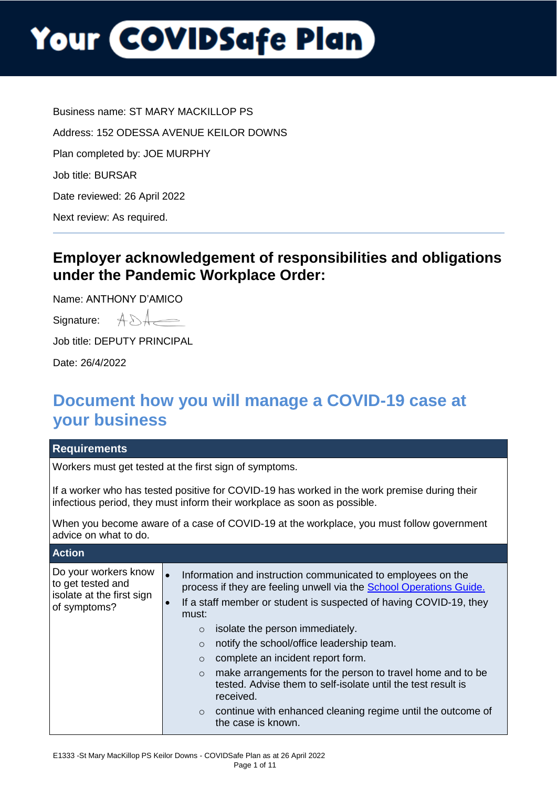Business name: ST MARY MACKILLOP PS Address: 152 ODESSA AVENUE KEILOR DOWNS Plan completed by: JOE MURPHY Job title: BURSAR Date reviewed: 26 April 2022 Next review: As required.

### **Employer acknowledgement of responsibilities and obligations under the Pandemic Workplace Order:**

Name: ANTHONY D'AMICO

| Signature: |  |
|------------|--|
|            |  |

Job title: DEPUTY PRINCIPAL

Date: 26/4/2022

### **Document how you will manage a COVID-19 case at your business**

| <b>Requirements</b>                                                                                                                                                      |                                                                                         |                                                                                                                                                                                                                                                                                                                                                                                                                                                                                                                                                                      |
|--------------------------------------------------------------------------------------------------------------------------------------------------------------------------|-----------------------------------------------------------------------------------------|----------------------------------------------------------------------------------------------------------------------------------------------------------------------------------------------------------------------------------------------------------------------------------------------------------------------------------------------------------------------------------------------------------------------------------------------------------------------------------------------------------------------------------------------------------------------|
| Workers must get tested at the first sign of symptoms.                                                                                                                   |                                                                                         |                                                                                                                                                                                                                                                                                                                                                                                                                                                                                                                                                                      |
| If a worker who has tested positive for COVID-19 has worked in the work premise during their<br>infectious period, they must inform their workplace as soon as possible. |                                                                                         |                                                                                                                                                                                                                                                                                                                                                                                                                                                                                                                                                                      |
| When you become aware of a case of COVID-19 at the workplace, you must follow government<br>advice on what to do.                                                        |                                                                                         |                                                                                                                                                                                                                                                                                                                                                                                                                                                                                                                                                                      |
| <b>Action</b>                                                                                                                                                            |                                                                                         |                                                                                                                                                                                                                                                                                                                                                                                                                                                                                                                                                                      |
| Do your workers know<br>to get tested and<br>isolate at the first sign<br>of symptoms?                                                                                   | $\bullet$<br>$\bullet$<br>must:<br>$\Omega$<br>$\circ$<br>$\circ$<br>$\circ$<br>$\circ$ | Information and instruction communicated to employees on the<br>process if they are feeling unwell via the <b>School Operations Guide.</b><br>If a staff member or student is suspected of having COVID-19, they<br>isolate the person immediately.<br>notify the school/office leadership team.<br>complete an incident report form.<br>make arrangements for the person to travel home and to be<br>tested. Advise them to self-isolate until the test result is<br>received.<br>continue with enhanced cleaning regime until the outcome of<br>the case is known. |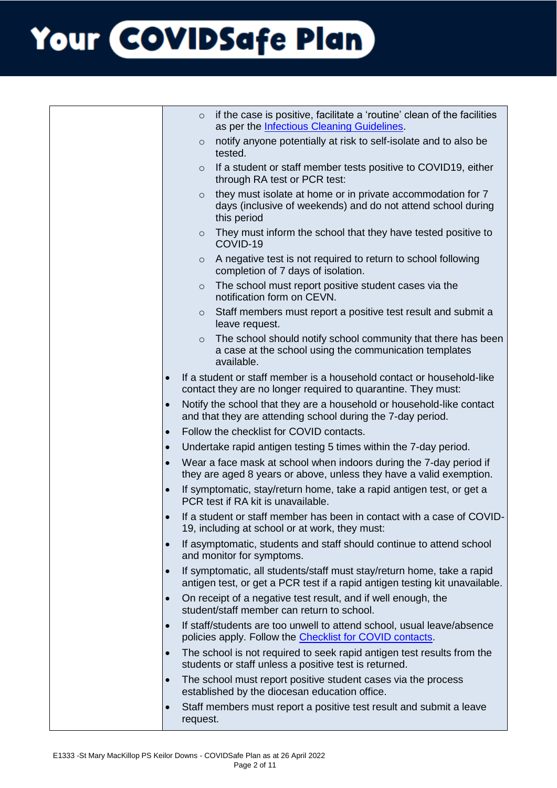|           | if the case is positive, facilitate a 'routine' clean of the facilities<br>$\circ$<br>as per the <b>Infectious Cleaning Guidelines</b> .              |
|-----------|-------------------------------------------------------------------------------------------------------------------------------------------------------|
|           | notify anyone potentially at risk to self-isolate and to also be<br>$\circ$<br>tested.                                                                |
|           | If a student or staff member tests positive to COVID19, either<br>$\circ$<br>through RA test or PCR test:                                             |
|           | they must isolate at home or in private accommodation for 7<br>$\circ$<br>days (inclusive of weekends) and do not attend school during<br>this period |
|           | They must inform the school that they have tested positive to<br>$\circ$<br>COVID-19                                                                  |
|           | A negative test is not required to return to school following<br>$\circ$<br>completion of 7 days of isolation.                                        |
|           | The school must report positive student cases via the<br>$\circ$<br>notification form on CEVN.                                                        |
|           | Staff members must report a positive test result and submit a<br>$\circ$<br>leave request.                                                            |
|           | The school should notify school community that there has been<br>$\circ$<br>a case at the school using the communication templates<br>available.      |
|           | If a student or staff member is a household contact or household-like<br>contact they are no longer required to quarantine. They must:                |
| $\bullet$ | Notify the school that they are a household or household-like contact<br>and that they are attending school during the 7-day period.                  |
| $\bullet$ | Follow the checklist for COVID contacts.                                                                                                              |
|           | Undertake rapid antigen testing 5 times within the 7-day period.                                                                                      |
|           | Wear a face mask at school when indoors during the 7-day period if<br>they are aged 8 years or above, unless they have a valid exemption.             |
|           | If symptomatic, stay/return home, take a rapid antigen test, or get a<br>PCR test if RA kit is unavailable.                                           |
| $\bullet$ | If a student or staff member has been in contact with a case of COVID-<br>19, including at school or at work, they must:                              |
| $\bullet$ | If asymptomatic, students and staff should continue to attend school<br>and monitor for symptoms.                                                     |
|           | If symptomatic, all students/staff must stay/return home, take a rapid<br>antigen test, or get a PCR test if a rapid antigen testing kit unavailable. |
|           | On receipt of a negative test result, and if well enough, the<br>student/staff member can return to school.                                           |
|           | If staff/students are too unwell to attend school, usual leave/absence<br>policies apply. Follow the <b>Checklist for COVID contacts</b> .            |
|           | The school is not required to seek rapid antigen test results from the<br>students or staff unless a positive test is returned.                       |
| $\bullet$ | The school must report positive student cases via the process<br>established by the diocesan education office.                                        |
| $\bullet$ | Staff members must report a positive test result and submit a leave<br>request.                                                                       |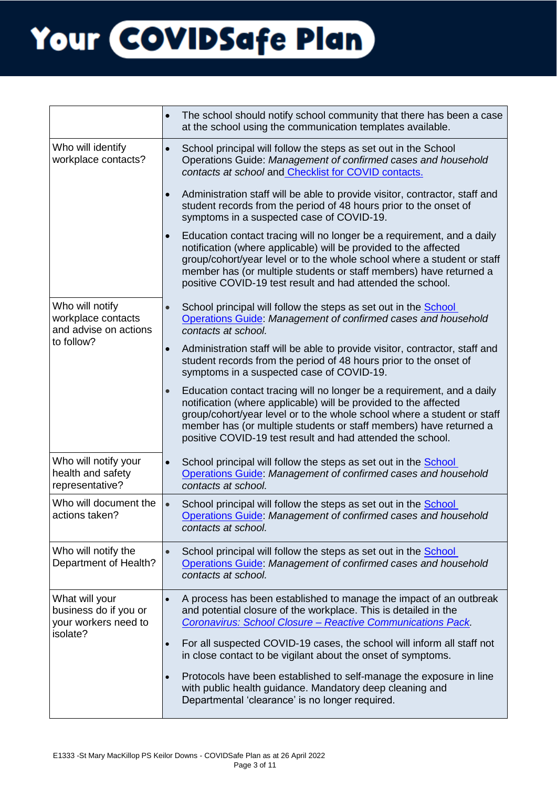|                                                                             | $\bullet$ | The school should notify school community that there has been a case<br>at the school using the communication templates available.                                                                                                                                                                                                                        |
|-----------------------------------------------------------------------------|-----------|-----------------------------------------------------------------------------------------------------------------------------------------------------------------------------------------------------------------------------------------------------------------------------------------------------------------------------------------------------------|
| Who will identify<br>workplace contacts?                                    | $\bullet$ | School principal will follow the steps as set out in the School<br>Operations Guide: Management of confirmed cases and household<br>contacts at school and Checklist for COVID contacts.                                                                                                                                                                  |
|                                                                             | $\bullet$ | Administration staff will be able to provide visitor, contractor, staff and<br>student records from the period of 48 hours prior to the onset of<br>symptoms in a suspected case of COVID-19.                                                                                                                                                             |
|                                                                             | $\bullet$ | Education contact tracing will no longer be a requirement, and a daily<br>notification (where applicable) will be provided to the affected<br>group/cohort/year level or to the whole school where a student or staff<br>member has (or multiple students or staff members) have returned a<br>positive COVID-19 test result and had attended the school. |
| Who will notify<br>workplace contacts<br>and advise on actions              | $\bullet$ | School principal will follow the steps as set out in the School<br>Operations Guide: Management of confirmed cases and household<br>contacts at school.                                                                                                                                                                                                   |
| to follow?                                                                  | $\bullet$ | Administration staff will be able to provide visitor, contractor, staff and<br>student records from the period of 48 hours prior to the onset of<br>symptoms in a suspected case of COVID-19.                                                                                                                                                             |
|                                                                             | $\bullet$ | Education contact tracing will no longer be a requirement, and a daily<br>notification (where applicable) will be provided to the affected<br>group/cohort/year level or to the whole school where a student or staff<br>member has (or multiple students or staff members) have returned a<br>positive COVID-19 test result and had attended the school. |
| Who will notify your<br>health and safety<br>representative?                | $\bullet$ | School principal will follow the steps as set out in the School<br>Operations Guide: Management of confirmed cases and household<br>contacts at school.                                                                                                                                                                                                   |
| Who will document the<br>actions taken?                                     | $\bullet$ | School principal will follow the steps as set out in the School<br>Operations Guide: Management of confirmed cases and household<br>contacts at school.                                                                                                                                                                                                   |
| Who will notify the<br>Department of Health?                                | $\bullet$ | School principal will follow the steps as set out in the School<br>Operations Guide: Management of confirmed cases and household<br>contacts at school.                                                                                                                                                                                                   |
| What will your<br>business do if you or<br>your workers need to<br>isolate? |           | A process has been established to manage the impact of an outbreak<br>and potential closure of the workplace. This is detailed in the<br>Coronavirus: School Closure - Reactive Communications Pack.                                                                                                                                                      |
|                                                                             | $\bullet$ | For all suspected COVID-19 cases, the school will inform all staff not<br>in close contact to be vigilant about the onset of symptoms.                                                                                                                                                                                                                    |
|                                                                             | $\bullet$ | Protocols have been established to self-manage the exposure in line<br>with public health guidance. Mandatory deep cleaning and<br>Departmental 'clearance' is no longer required.                                                                                                                                                                        |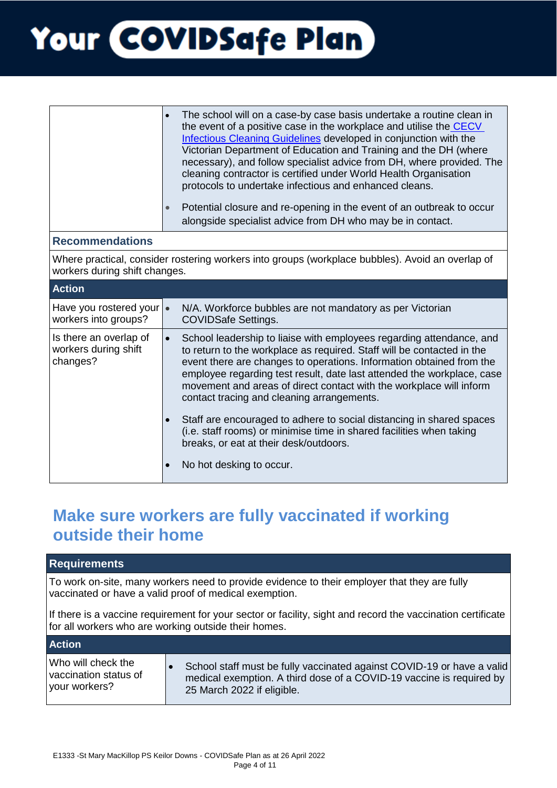|                                                                                                                                   | The school will on a case-by case basis undertake a routine clean in<br>the event of a positive case in the workplace and utilise the CECV<br>Infectious Cleaning Guidelines developed in conjunction with the<br>Victorian Department of Education and Training and the DH (where<br>necessary), and follow specialist advice from DH, where provided. The<br>cleaning contractor is certified under World Health Organisation<br>protocols to undertake infectious and enhanced cleans.<br>Potential closure and re-opening in the event of an outbreak to occur<br>$\bullet$<br>alongside specialist advice from DH who may be in contact. |  |
|-----------------------------------------------------------------------------------------------------------------------------------|-----------------------------------------------------------------------------------------------------------------------------------------------------------------------------------------------------------------------------------------------------------------------------------------------------------------------------------------------------------------------------------------------------------------------------------------------------------------------------------------------------------------------------------------------------------------------------------------------------------------------------------------------|--|
| <b>Recommendations</b>                                                                                                            |                                                                                                                                                                                                                                                                                                                                                                                                                                                                                                                                                                                                                                               |  |
| Where practical, consider rostering workers into groups (workplace bubbles). Avoid an overlap of<br>workers during shift changes. |                                                                                                                                                                                                                                                                                                                                                                                                                                                                                                                                                                                                                                               |  |
| <b>Action</b>                                                                                                                     |                                                                                                                                                                                                                                                                                                                                                                                                                                                                                                                                                                                                                                               |  |
| Have you rostered your $\cdot$<br>workers into groups?                                                                            | N/A. Workforce bubbles are not mandatory as per Victorian<br><b>COVIDSafe Settings.</b>                                                                                                                                                                                                                                                                                                                                                                                                                                                                                                                                                       |  |
| Is there an overlap of<br>workers during shift<br>changes?                                                                        | School leadership to liaise with employees regarding attendance, and<br>$\bullet$<br>to return to the workplace as required. Staff will be contacted in the<br>event there are changes to operations. Information obtained from the<br>employee regarding test result, date last attended the workplace, case<br>movement and areas of direct contact with the workplace will inform<br>contact tracing and cleaning arrangements.<br>Staff are encouraged to adhere to social distancing in shared spaces<br>$\bullet$<br>(i.e. staff rooms) or minimise time in shared facilities when taking<br>breaks, or eat at their desk/outdoors.     |  |
|                                                                                                                                   | No hot desking to occur.<br>$\bullet$                                                                                                                                                                                                                                                                                                                                                                                                                                                                                                                                                                                                         |  |

### **Make sure workers are fully vaccinated if working outside their home**

| To work on-site, many workers need to provide evidence to their employer that they are fully<br>vaccinated or have a valid proof of medical exemption.<br>for all workers who are working outside their homes.<br><b>Action</b>              |                                                                                                             |  |  |
|----------------------------------------------------------------------------------------------------------------------------------------------------------------------------------------------------------------------------------------------|-------------------------------------------------------------------------------------------------------------|--|--|
|                                                                                                                                                                                                                                              |                                                                                                             |  |  |
|                                                                                                                                                                                                                                              | If there is a vaccine requirement for your sector or facility, sight and record the vaccination certificate |  |  |
|                                                                                                                                                                                                                                              |                                                                                                             |  |  |
| Who will check the<br>School staff must be fully vaccinated against COVID-19 or have a valid<br>vaccination status of<br>medical exemption. A third dose of a COVID-19 vaccine is required by<br>your workers?<br>25 March 2022 if eligible. |                                                                                                             |  |  |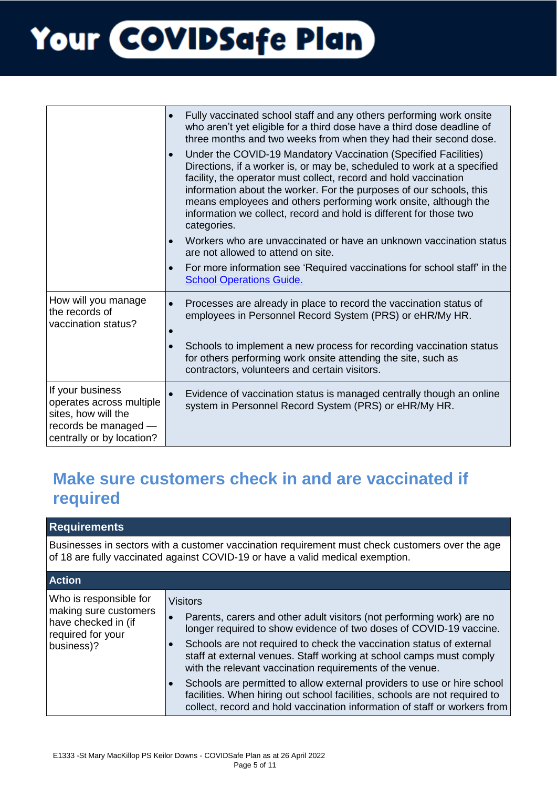|                                                                                                                          | Fully vaccinated school staff and any others performing work onsite<br>$\bullet$<br>who aren't yet eligible for a third dose have a third dose deadline of<br>three months and two weeks from when they had their second dose.<br>Under the COVID-19 Mandatory Vaccination (Specified Facilities)<br>Directions, if a worker is, or may be, scheduled to work at a specified<br>facility, the operator must collect, record and hold vaccination<br>information about the worker. For the purposes of our schools, this<br>means employees and others performing work onsite, although the<br>information we collect, record and hold is different for those two<br>categories.<br>Workers who are unvaccinated or have an unknown vaccination status<br>are not allowed to attend on site.<br>For more information see 'Required vaccinations for school staff' in the<br>$\bullet$<br><b>School Operations Guide.</b> |
|--------------------------------------------------------------------------------------------------------------------------|-------------------------------------------------------------------------------------------------------------------------------------------------------------------------------------------------------------------------------------------------------------------------------------------------------------------------------------------------------------------------------------------------------------------------------------------------------------------------------------------------------------------------------------------------------------------------------------------------------------------------------------------------------------------------------------------------------------------------------------------------------------------------------------------------------------------------------------------------------------------------------------------------------------------------|
| How will you manage<br>the records of<br>vaccination status?                                                             | Processes are already in place to record the vaccination status of<br>employees in Personnel Record System (PRS) or eHR/My HR.<br>Schools to implement a new process for recording vaccination status<br>for others performing work onsite attending the site, such as<br>contractors, volunteers and certain visitors.                                                                                                                                                                                                                                                                                                                                                                                                                                                                                                                                                                                                 |
| If your business<br>operates across multiple<br>sites, how will the<br>records be managed -<br>centrally or by location? | Evidence of vaccination status is managed centrally though an online<br>$\bullet$<br>system in Personnel Record System (PRS) or eHR/My HR.                                                                                                                                                                                                                                                                                                                                                                                                                                                                                                                                                                                                                                                                                                                                                                              |

### **Make sure customers check in and are vaccinated if required**

**Requirements** 

Businesses in sectors with a customer vaccination requirement must check customers over the age of 18 are fully vaccinated against COVID-19 or have a valid medical exemption.

| <b>Action</b>                                                                                             |                                                                                                                                                                                                                                                                                                                                                                                                                                                                                                                                                                                                          |  |
|-----------------------------------------------------------------------------------------------------------|----------------------------------------------------------------------------------------------------------------------------------------------------------------------------------------------------------------------------------------------------------------------------------------------------------------------------------------------------------------------------------------------------------------------------------------------------------------------------------------------------------------------------------------------------------------------------------------------------------|--|
| Who is responsible for<br>making sure customers<br>have checked in (if<br>required for your<br>business)? | Visitors<br>Parents, carers and other adult visitors (not performing work) are no<br>longer required to show evidence of two doses of COVID-19 vaccine.<br>Schools are not required to check the vaccination status of external<br>staff at external venues. Staff working at school camps must comply<br>with the relevant vaccination requirements of the venue.<br>Schools are permitted to allow external providers to use or hire school<br>facilities. When hiring out school facilities, schools are not required to<br>collect, record and hold vaccination information of staff or workers from |  |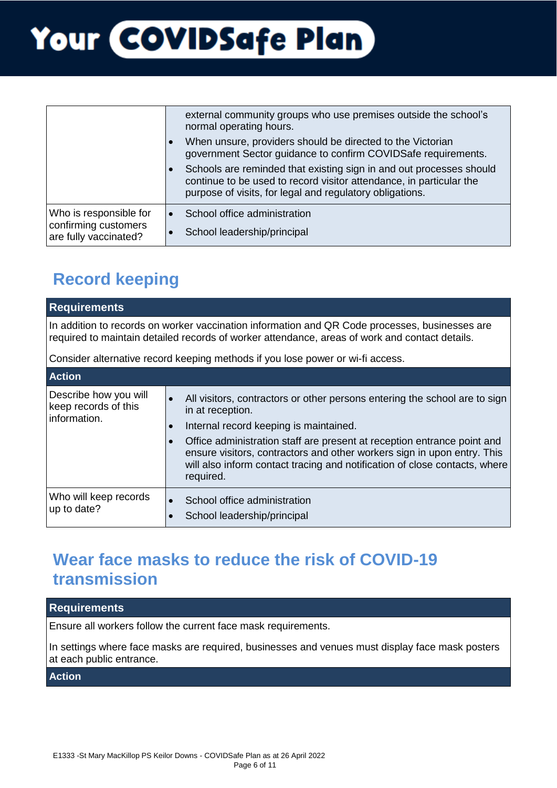|                                                                         |           | external community groups who use premises outside the school's<br>normal operating hours.<br>When unsure, providers should be directed to the Victorian<br>government Sector guidance to confirm COVIDSafe requirements.<br>Schools are reminded that existing sign in and out processes should<br>continue to be used to record visitor attendance, in particular the<br>purpose of visits, for legal and regulatory obligations. |
|-------------------------------------------------------------------------|-----------|-------------------------------------------------------------------------------------------------------------------------------------------------------------------------------------------------------------------------------------------------------------------------------------------------------------------------------------------------------------------------------------------------------------------------------------|
| Who is responsible for<br>confirming customers<br>are fully vaccinated? | $\bullet$ | School office administration<br>School leadership/principal                                                                                                                                                                                                                                                                                                                                                                         |

### **Record keeping**

| <b>Requirements</b>                                                                                                                                                                              |                                                                                                                                                                                                                                                                                                                                                                                                        |  |
|--------------------------------------------------------------------------------------------------------------------------------------------------------------------------------------------------|--------------------------------------------------------------------------------------------------------------------------------------------------------------------------------------------------------------------------------------------------------------------------------------------------------------------------------------------------------------------------------------------------------|--|
| In addition to records on worker vaccination information and QR Code processes, businesses are<br>required to maintain detailed records of worker attendance, areas of work and contact details. |                                                                                                                                                                                                                                                                                                                                                                                                        |  |
| Consider alternative record keeping methods if you lose power or wi-fi access.                                                                                                                   |                                                                                                                                                                                                                                                                                                                                                                                                        |  |
| <b>Action</b>                                                                                                                                                                                    |                                                                                                                                                                                                                                                                                                                                                                                                        |  |
| Describe how you will<br>keep records of this<br>information.                                                                                                                                    | All visitors, contractors or other persons entering the school are to sign<br>in at reception.<br>Internal record keeping is maintained.<br>$\bullet$<br>Office administration staff are present at reception entrance point and<br>ensure visitors, contractors and other workers sign in upon entry. This<br>will also inform contact tracing and notification of close contacts, where<br>required. |  |
| Who will keep records<br>up to date?                                                                                                                                                             | School office administration<br>$\bullet$<br>School leadership/principal                                                                                                                                                                                                                                                                                                                               |  |

### **Wear face masks to reduce the risk of COVID-19 transmission**

#### **Requirements**

Ensure all workers follow the current face mask requirements.

In settings where face masks are required, businesses and venues must display face mask posters at each public entrance.

#### **Action**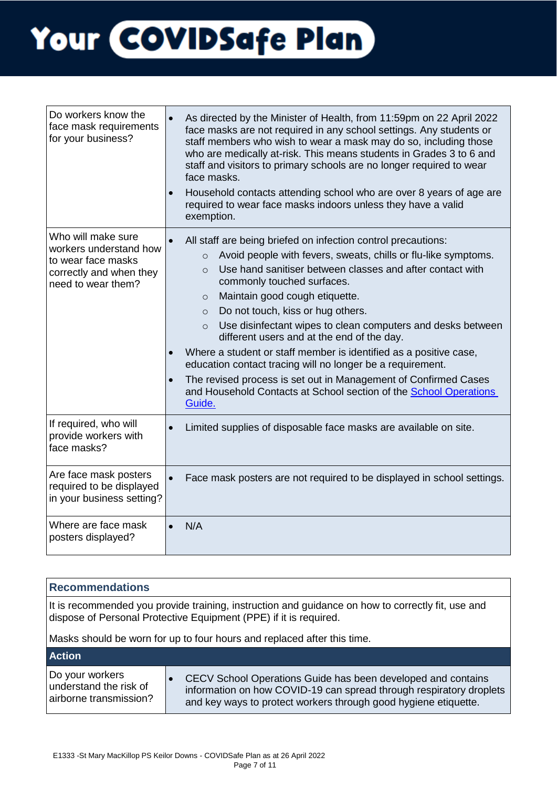| Do workers know the<br>face mask requirements<br>for your business?                                                 | As directed by the Minister of Health, from 11:59pm on 22 April 2022<br>face masks are not required in any school settings. Any students or<br>staff members who wish to wear a mask may do so, including those<br>who are medically at-risk. This means students in Grades 3 to 6 and<br>staff and visitors to primary schools are no longer required to wear<br>face masks.<br>Household contacts attending school who are over 8 years of age are<br>$\bullet$<br>required to wear face masks indoors unless they have a valid<br>exemption.                                                                                                                                                                                                                          |
|---------------------------------------------------------------------------------------------------------------------|--------------------------------------------------------------------------------------------------------------------------------------------------------------------------------------------------------------------------------------------------------------------------------------------------------------------------------------------------------------------------------------------------------------------------------------------------------------------------------------------------------------------------------------------------------------------------------------------------------------------------------------------------------------------------------------------------------------------------------------------------------------------------|
| Who will make sure<br>workers understand how<br>to wear face masks<br>correctly and when they<br>need to wear them? | All staff are being briefed on infection control precautions:<br>Avoid people with fevers, sweats, chills or flu-like symptoms.<br>$\circ$<br>Use hand sanitiser between classes and after contact with<br>$\Omega$<br>commonly touched surfaces.<br>Maintain good cough etiquette.<br>$\circ$<br>Do not touch, kiss or hug others.<br>$\circ$<br>Use disinfectant wipes to clean computers and desks between<br>$\circ$<br>different users and at the end of the day.<br>Where a student or staff member is identified as a positive case,<br>education contact tracing will no longer be a requirement.<br>The revised process is set out in Management of Confirmed Cases<br>$\bullet$<br>and Household Contacts at School section of the School Operations<br>Guide. |
| If required, who will<br>provide workers with<br>face masks?                                                        | Limited supplies of disposable face masks are available on site.                                                                                                                                                                                                                                                                                                                                                                                                                                                                                                                                                                                                                                                                                                         |
| Are face mask posters<br>required to be displayed<br>in your business setting?                                      | Face mask posters are not required to be displayed in school settings.<br>$\bullet$                                                                                                                                                                                                                                                                                                                                                                                                                                                                                                                                                                                                                                                                                      |
| Where are face mask<br>posters displayed?                                                                           | N/A                                                                                                                                                                                                                                                                                                                                                                                                                                                                                                                                                                                                                                                                                                                                                                      |

| <b>Recommendations</b>                                                                                                                                                                                                                            |                                                                                                                                                                                                        |  |
|---------------------------------------------------------------------------------------------------------------------------------------------------------------------------------------------------------------------------------------------------|--------------------------------------------------------------------------------------------------------------------------------------------------------------------------------------------------------|--|
| It is recommended you provide training, instruction and guidance on how to correctly fit, use and<br>dispose of Personal Protective Equipment (PPE) if it is required.<br>Masks should be worn for up to four hours and replaced after this time. |                                                                                                                                                                                                        |  |
|                                                                                                                                                                                                                                                   |                                                                                                                                                                                                        |  |
| <b>Action</b>                                                                                                                                                                                                                                     |                                                                                                                                                                                                        |  |
| Do your workers<br>understand the risk of<br>airborne transmission?                                                                                                                                                                               | CECV School Operations Guide has been developed and contains<br>information on how COVID-19 can spread through respiratory droplets<br>and key ways to protect workers through good hygiene etiquette. |  |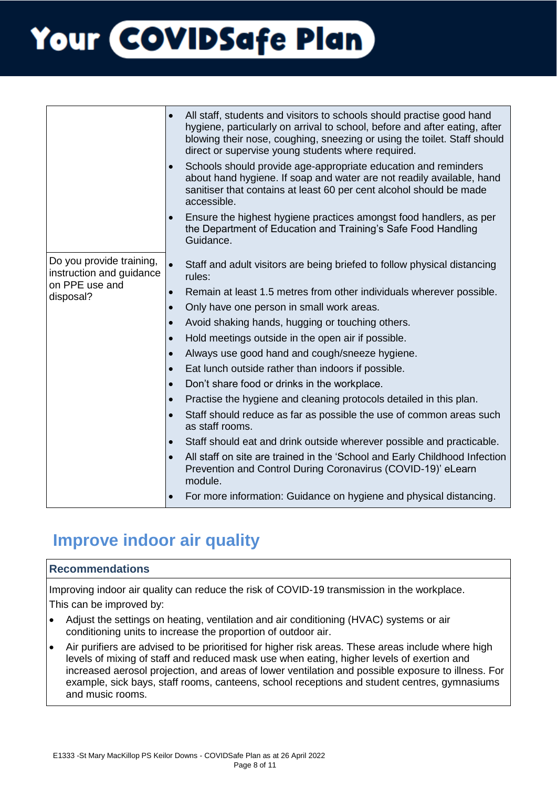|                                                                                     | All staff, students and visitors to schools should practise good hand<br>$\bullet$<br>hygiene, particularly on arrival to school, before and after eating, after<br>blowing their nose, coughing, sneezing or using the toilet. Staff should<br>direct or supervise young students where required.<br>Schools should provide age-appropriate education and reminders<br>$\bullet$<br>about hand hygiene. If soap and water are not readily available, hand<br>sanitiser that contains at least 60 per cent alcohol should be made<br>accessible.<br>Ensure the highest hygiene practices amongst food handlers, as per<br>the Department of Education and Training's Safe Food Handling<br>Guidance.                                                                                                                                                                                                                                                                                                                                                                                |
|-------------------------------------------------------------------------------------|-------------------------------------------------------------------------------------------------------------------------------------------------------------------------------------------------------------------------------------------------------------------------------------------------------------------------------------------------------------------------------------------------------------------------------------------------------------------------------------------------------------------------------------------------------------------------------------------------------------------------------------------------------------------------------------------------------------------------------------------------------------------------------------------------------------------------------------------------------------------------------------------------------------------------------------------------------------------------------------------------------------------------------------------------------------------------------------|
| Do you provide training,<br>instruction and guidance<br>on PPE use and<br>disposal? | Staff and adult visitors are being briefed to follow physical distancing<br>$\bullet$<br>rules:<br>Remain at least 1.5 metres from other individuals wherever possible.<br>$\bullet$<br>Only have one person in small work areas.<br>$\bullet$<br>Avoid shaking hands, hugging or touching others.<br>$\bullet$<br>Hold meetings outside in the open air if possible.<br>$\bullet$<br>Always use good hand and cough/sneeze hygiene.<br>$\bullet$<br>Eat lunch outside rather than indoors if possible.<br>$\bullet$<br>Don't share food or drinks in the workplace.<br>$\bullet$<br>Practise the hygiene and cleaning protocols detailed in this plan.<br>$\bullet$<br>Staff should reduce as far as possible the use of common areas such<br>as staff rooms.<br>Staff should eat and drink outside wherever possible and practicable.<br>$\bullet$<br>All staff on site are trained in the 'School and Early Childhood Infection<br>Prevention and Control During Coronavirus (COVID-19)' eLearn<br>module.<br>For more information: Guidance on hygiene and physical distancing. |

### **Improve indoor air quality**

#### **Recommendations**

Improving indoor air quality can reduce the risk of COVID-19 transmission in the workplace. This can be improved by:

- Adjust the settings on heating, ventilation and air conditioning (HVAC) systems or air conditioning units to increase the proportion of outdoor air.
- Air purifiers are advised to be prioritised for higher risk areas. These areas include where high levels of mixing of staff and reduced mask use when eating, higher levels of exertion and increased aerosol projection, and areas of lower ventilation and possible exposure to illness. For example, sick bays, staff rooms, canteens, school receptions and student centres, gymnasiums and music rooms.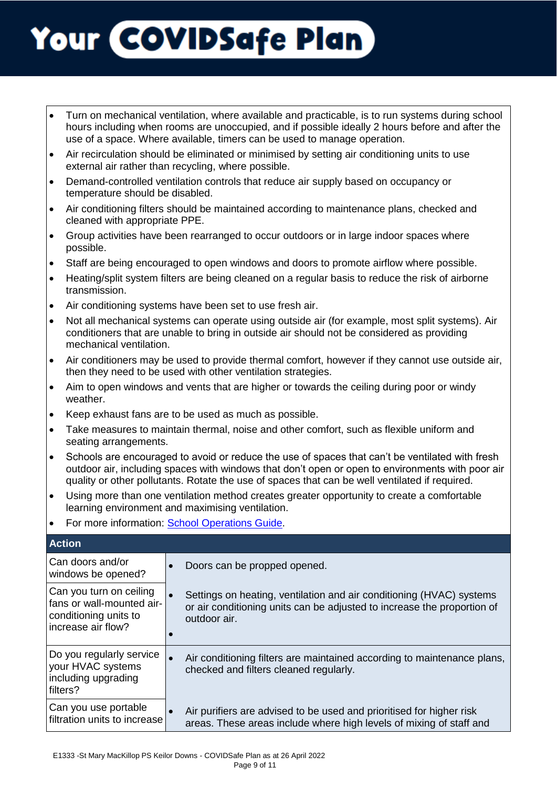- Turn on mechanical ventilation, where available and practicable, is to run systems during school hours including when rooms are unoccupied, and if possible ideally 2 hours before and after the use of a space. Where available, timers can be used to manage operation.
- Air recirculation should be eliminated or minimised by setting air conditioning units to use external air rather than recycling, where possible.
- Demand-controlled ventilation controls that reduce air supply based on occupancy or temperature should be disabled.
- Air conditioning filters should be maintained according to maintenance plans, checked and cleaned with appropriate PPE.
- Group activities have been rearranged to occur outdoors or in large indoor spaces where possible.
- Staff are being encouraged to open windows and doors to promote airflow where possible.
- Heating/split system filters are being cleaned on a regular basis to reduce the risk of airborne transmission.
- Air conditioning systems have been set to use fresh air.
- Not all mechanical systems can operate using outside air (for example, most split systems). Air conditioners that are unable to bring in outside air should not be considered as providing mechanical ventilation.
- Air conditioners may be used to provide thermal comfort, however if they cannot use outside air, then they need to be used with other ventilation strategies.
- Aim to open windows and vents that are higher or towards the ceiling during poor or windy weather.
- Keep exhaust fans are to be used as much as possible.
- Take measures to maintain thermal, noise and other comfort, such as flexible uniform and seating arrangements.
- Schools are encouraged to avoid or reduce the use of spaces that can't be ventilated with fresh outdoor air, including spaces with windows that don't open or open to environments with poor air quality or other pollutants. Rotate the use of spaces that can be well ventilated if required.
- Using more than one ventilation method creates greater opportunity to create a comfortable learning environment and maximising ventilation.
- For more information: [School Operations Guide.](file:///C:/Users/adamico/Downloads/CECV-School-Operations-Guide_Term_2_from_26_April_2022.pdf)

| <b>Action</b>                                                                                       |                                                                                                                                                                 |
|-----------------------------------------------------------------------------------------------------|-----------------------------------------------------------------------------------------------------------------------------------------------------------------|
| Can doors and/or<br>windows be opened?                                                              | Doors can be propped opened.                                                                                                                                    |
| Can you turn on ceiling<br>fans or wall-mounted air-<br>conditioning units to<br>increase air flow? | Settings on heating, ventilation and air conditioning (HVAC) systems<br>or air conditioning units can be adjusted to increase the proportion of<br>outdoor air. |
| Do you regularly service<br>your HVAC systems<br>including upgrading<br>filters?                    | Air conditioning filters are maintained according to maintenance plans,<br>checked and filters cleaned regularly.                                               |
| Can you use portable<br>filtration units to increase                                                | Air purifiers are advised to be used and prioritised for higher risk<br>$\bullet$<br>areas. These areas include where high levels of mixing of staff and        |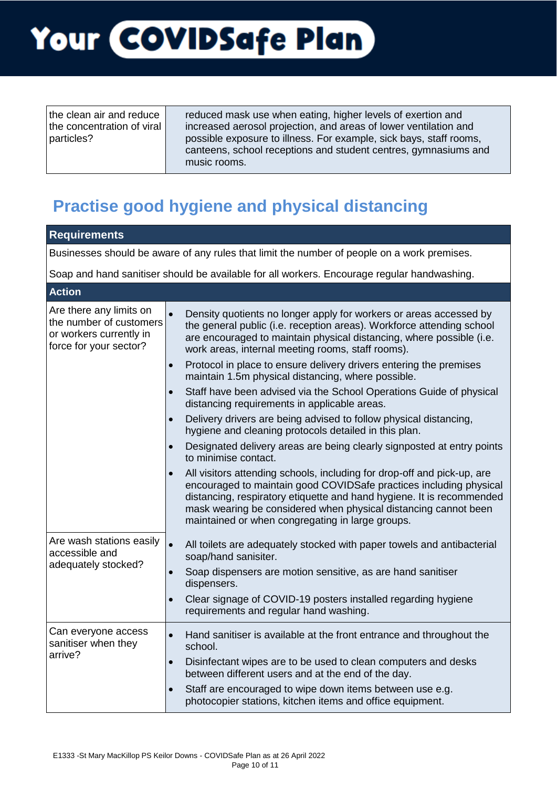| the clean air and reduce<br>the concentration of viral<br>particles? | reduced mask use when eating, higher levels of exertion and<br>increased aerosol projection, and areas of lower ventilation and<br>possible exposure to illness. For example, sick bays, staff rooms,<br>canteens, school receptions and student centres, gymnasiums and<br>music rooms. |
|----------------------------------------------------------------------|------------------------------------------------------------------------------------------------------------------------------------------------------------------------------------------------------------------------------------------------------------------------------------------|

### **Practise good hygiene and physical distancing**

| <b>Requirements</b>                                                                                     |                                                                                                                                                                                                                                                                                                                                                                                                                                                                                                                    |  |
|---------------------------------------------------------------------------------------------------------|--------------------------------------------------------------------------------------------------------------------------------------------------------------------------------------------------------------------------------------------------------------------------------------------------------------------------------------------------------------------------------------------------------------------------------------------------------------------------------------------------------------------|--|
|                                                                                                         | Businesses should be aware of any rules that limit the number of people on a work premises.                                                                                                                                                                                                                                                                                                                                                                                                                        |  |
| Soap and hand sanitiser should be available for all workers. Encourage regular handwashing.             |                                                                                                                                                                                                                                                                                                                                                                                                                                                                                                                    |  |
| <b>Action</b>                                                                                           |                                                                                                                                                                                                                                                                                                                                                                                                                                                                                                                    |  |
| Are there any limits on<br>the number of customers<br>or workers currently in<br>force for your sector? | $\bullet$<br>Density quotients no longer apply for workers or areas accessed by<br>the general public (i.e. reception areas). Workforce attending school<br>are encouraged to maintain physical distancing, where possible (i.e.<br>work areas, internal meeting rooms, staff rooms).<br>Protocol in place to ensure delivery drivers entering the premises<br>$\bullet$<br>maintain 1.5m physical distancing, where possible.<br>Staff have been advised via the School Operations Guide of physical<br>$\bullet$ |  |
|                                                                                                         | distancing requirements in applicable areas.<br>Delivery drivers are being advised to follow physical distancing,<br>$\bullet$<br>hygiene and cleaning protocols detailed in this plan.                                                                                                                                                                                                                                                                                                                            |  |
|                                                                                                         | Designated delivery areas are being clearly signposted at entry points<br>$\bullet$<br>to minimise contact.<br>All visitors attending schools, including for drop-off and pick-up, are<br>encouraged to maintain good COVIDSafe practices including physical<br>distancing, respiratory etiquette and hand hygiene. It is recommended<br>mask wearing be considered when physical distancing cannot been<br>maintained or when congregating in large groups.                                                       |  |
| Are wash stations easily<br>accessible and<br>adequately stocked?                                       | $\bullet$<br>All toilets are adequately stocked with paper towels and antibacterial<br>soap/hand sanisiter.<br>Soap dispensers are motion sensitive, as are hand sanitiser<br>$\bullet$<br>dispensers.<br>Clear signage of COVID-19 posters installed regarding hygiene<br>$\bullet$<br>requirements and regular hand washing.                                                                                                                                                                                     |  |
| Can everyone access<br>sanitiser when they<br>arrive?                                                   | Hand sanitiser is available at the front entrance and throughout the<br>$\bullet$<br>school.<br>Disinfectant wipes are to be used to clean computers and desks<br>$\bullet$<br>between different users and at the end of the day.<br>Staff are encouraged to wipe down items between use e.g.<br>$\bullet$<br>photocopier stations, kitchen items and office equipment.                                                                                                                                            |  |